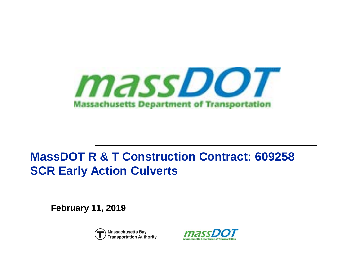

# **MassDOT R & T Construction Contract: 609258 SCR Early Action Culverts**

**February 11, 2019**



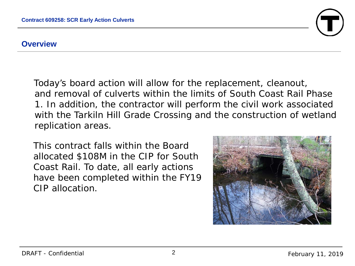

#### **Overview**

Today's board action will allow for the replacement, cleanout, and removal of culverts within the limits of South Coast Rail Phase 1. In addition, the contractor will perform the civil work associated with the Tarkiln Hill Grade Crossing and the construction of wetland replication areas.

This contract falls within the Board allocated \$108M in the CIP for South Coast Rail. To date, all early actions have been completed within the FY19 CIP allocation.

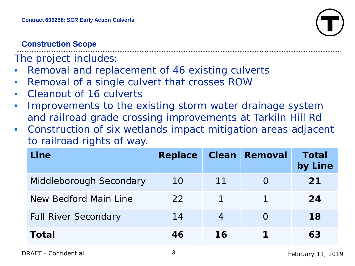

# **Construction Scope**

The project includes:

- Removal and replacement of 46 existing culverts
- Removal of a single culvert that crosses ROW
- Cleanout of 16 culverts
- Improvements to the existing storm water drainage system and railroad grade crossing improvements at Tarkiln Hill Rd
- Construction of six wetlands impact mitigation areas adjacent to railroad rights of way.

| Line                        | <b>Replace</b> |                | <b>Clean Removal</b> | Total<br>by Line |
|-----------------------------|----------------|----------------|----------------------|------------------|
| Middleborough Secondary     | 10             | 11             |                      | 21               |
| New Bedford Main Line       | 22             |                |                      | 24               |
| <b>Fall River Secondary</b> | 14             | $\overline{4}$ |                      | 18               |
| Total                       | 46             | 16             |                      | 63               |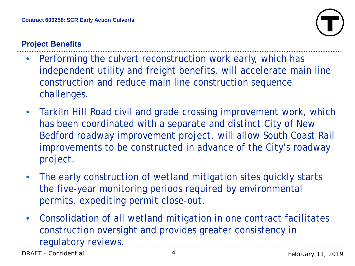

# **Project Benefits**

- Performing the culvert reconstruction work early, which has independent utility and freight benefits, will accelerate main line construction and reduce main line construction sequence challenges.
- Tarkiln Hill Road civil and grade crossing improvement work, which has been coordinated with a separate and distinct City of New Bedford roadway improvement project, will allow South Coast Rail improvements to be constructed in advance of the City's roadway project.
- The early construction of wetland mitigation sites quickly starts the five-year monitoring periods required by environmental permits, expediting permit close-out.
- Consolidation of all wetland mitigation in one contract facilitates construction oversight and provides greater consistency in regulatory reviews.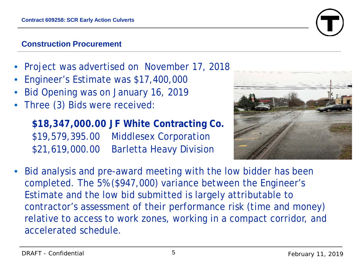# **Construction Procurement**

- Project was advertised on November 17, 2018
- Engineer's Estimate was \$17,400,000
- Bid Opening was on January 16, 2019
- Three (3) Bids were received:

**\$18,347,000.00 JF White Contracting Co.**  \$19,579,395.00 Middlesex Corporation \$21,619,000.00 Barletta Heavy Division



• Bid analysis and pre-award meeting with the low bidder has been completed. The 5% (\$947,000) variance between the Engineer's Estimate and the low bid submitted is largely attributable to contractor's assessment of their performance risk (time and money) relative to access to work zones, working in a compact corridor, and accelerated schedule.